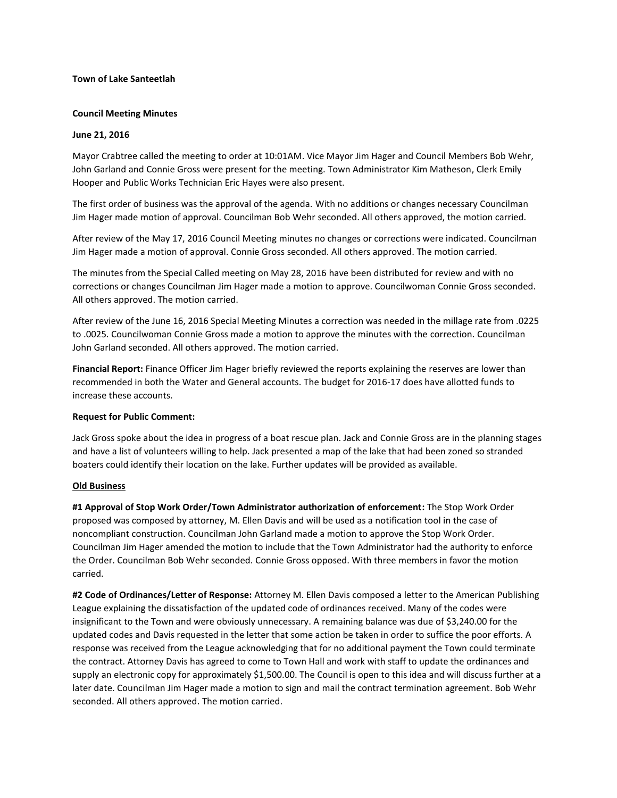# **Town of Lake Santeetlah**

# **Council Meeting Minutes**

# **June 21, 2016**

Mayor Crabtree called the meeting to order at 10:01AM. Vice Mayor Jim Hager and Council Members Bob Wehr, John Garland and Connie Gross were present for the meeting. Town Administrator Kim Matheson, Clerk Emily Hooper and Public Works Technician Eric Hayes were also present.

The first order of business was the approval of the agenda. With no additions or changes necessary Councilman Jim Hager made motion of approval. Councilman Bob Wehr seconded. All others approved, the motion carried.

After review of the May 17, 2016 Council Meeting minutes no changes or corrections were indicated. Councilman Jim Hager made a motion of approval. Connie Gross seconded. All others approved. The motion carried.

The minutes from the Special Called meeting on May 28, 2016 have been distributed for review and with no corrections or changes Councilman Jim Hager made a motion to approve. Councilwoman Connie Gross seconded. All others approved. The motion carried.

After review of the June 16, 2016 Special Meeting Minutes a correction was needed in the millage rate from .0225 to .0025. Councilwoman Connie Gross made a motion to approve the minutes with the correction. Councilman John Garland seconded. All others approved. The motion carried.

**Financial Report:** Finance Officer Jim Hager briefly reviewed the reports explaining the reserves are lower than recommended in both the Water and General accounts. The budget for 2016-17 does have allotted funds to increase these accounts.

### **Request for Public Comment:**

Jack Gross spoke about the idea in progress of a boat rescue plan. Jack and Connie Gross are in the planning stages and have a list of volunteers willing to help. Jack presented a map of the lake that had been zoned so stranded boaters could identify their location on the lake. Further updates will be provided as available.

### **Old Business**

**#1 Approval of Stop Work Order/Town Administrator authorization of enforcement:** The Stop Work Order proposed was composed by attorney, M. Ellen Davis and will be used as a notification tool in the case of noncompliant construction. Councilman John Garland made a motion to approve the Stop Work Order. Councilman Jim Hager amended the motion to include that the Town Administrator had the authority to enforce the Order. Councilman Bob Wehr seconded. Connie Gross opposed. With three members in favor the motion carried.

**#2 Code of Ordinances/Letter of Response:** Attorney M. Ellen Davis composed a letter to the American Publishing League explaining the dissatisfaction of the updated code of ordinances received. Many of the codes were insignificant to the Town and were obviously unnecessary. A remaining balance was due of \$3,240.00 for the updated codes and Davis requested in the letter that some action be taken in order to suffice the poor efforts. A response was received from the League acknowledging that for no additional payment the Town could terminate the contract. Attorney Davis has agreed to come to Town Hall and work with staff to update the ordinances and supply an electronic copy for approximately \$1,500.00. The Council is open to this idea and will discuss further at a later date. Councilman Jim Hager made a motion to sign and mail the contract termination agreement. Bob Wehr seconded. All others approved. The motion carried.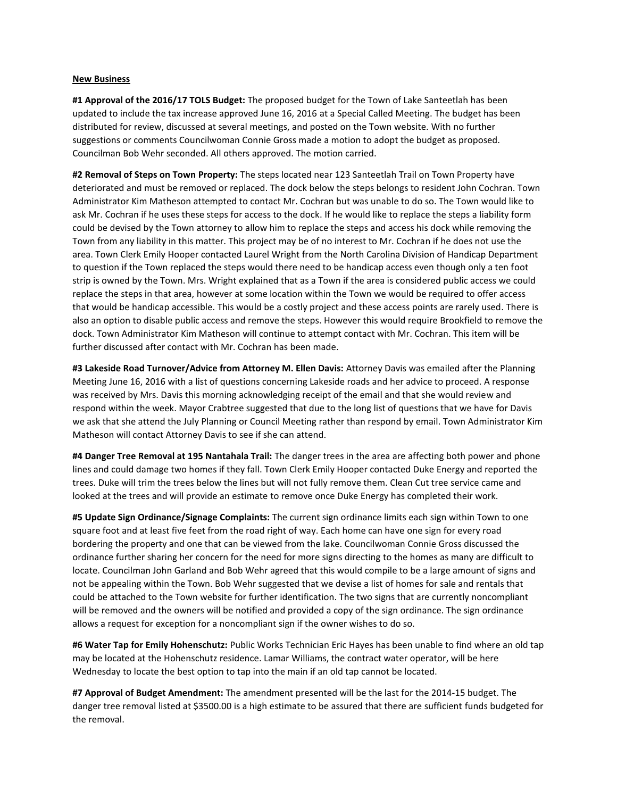#### **New Business**

**#1 Approval of the 2016/17 TOLS Budget:** The proposed budget for the Town of Lake Santeetlah has been updated to include the tax increase approved June 16, 2016 at a Special Called Meeting. The budget has been distributed for review, discussed at several meetings, and posted on the Town website. With no further suggestions or comments Councilwoman Connie Gross made a motion to adopt the budget as proposed. Councilman Bob Wehr seconded. All others approved. The motion carried.

**#2 Removal of Steps on Town Property:** The steps located near 123 Santeetlah Trail on Town Property have deteriorated and must be removed or replaced. The dock below the steps belongs to resident John Cochran. Town Administrator Kim Matheson attempted to contact Mr. Cochran but was unable to do so. The Town would like to ask Mr. Cochran if he uses these steps for access to the dock. If he would like to replace the steps a liability form could be devised by the Town attorney to allow him to replace the steps and access his dock while removing the Town from any liability in this matter. This project may be of no interest to Mr. Cochran if he does not use the area. Town Clerk Emily Hooper contacted Laurel Wright from the North Carolina Division of Handicap Department to question if the Town replaced the steps would there need to be handicap access even though only a ten foot strip is owned by the Town. Mrs. Wright explained that as a Town if the area is considered public access we could replace the steps in that area, however at some location within the Town we would be required to offer access that would be handicap accessible. This would be a costly project and these access points are rarely used. There is also an option to disable public access and remove the steps. However this would require Brookfield to remove the dock. Town Administrator Kim Matheson will continue to attempt contact with Mr. Cochran. This item will be further discussed after contact with Mr. Cochran has been made.

**#3 Lakeside Road Turnover/Advice from Attorney M. Ellen Davis:** Attorney Davis was emailed after the Planning Meeting June 16, 2016 with a list of questions concerning Lakeside roads and her advice to proceed. A response was received by Mrs. Davis this morning acknowledging receipt of the email and that she would review and respond within the week. Mayor Crabtree suggested that due to the long list of questions that we have for Davis we ask that she attend the July Planning or Council Meeting rather than respond by email. Town Administrator Kim Matheson will contact Attorney Davis to see if she can attend.

**#4 Danger Tree Removal at 195 Nantahala Trail:** The danger trees in the area are affecting both power and phone lines and could damage two homes if they fall. Town Clerk Emily Hooper contacted Duke Energy and reported the trees. Duke will trim the trees below the lines but will not fully remove them. Clean Cut tree service came and looked at the trees and will provide an estimate to remove once Duke Energy has completed their work.

**#5 Update Sign Ordinance/Signage Complaints:** The current sign ordinance limits each sign within Town to one square foot and at least five feet from the road right of way. Each home can have one sign for every road bordering the property and one that can be viewed from the lake. Councilwoman Connie Gross discussed the ordinance further sharing her concern for the need for more signs directing to the homes as many are difficult to locate. Councilman John Garland and Bob Wehr agreed that this would compile to be a large amount of signs and not be appealing within the Town. Bob Wehr suggested that we devise a list of homes for sale and rentals that could be attached to the Town website for further identification. The two signs that are currently noncompliant will be removed and the owners will be notified and provided a copy of the sign ordinance. The sign ordinance allows a request for exception for a noncompliant sign if the owner wishes to do so.

**#6 Water Tap for Emily Hohenschutz:** Public Works Technician Eric Hayes has been unable to find where an old tap may be located at the Hohenschutz residence. Lamar Williams, the contract water operator, will be here Wednesday to locate the best option to tap into the main if an old tap cannot be located.

**#7 Approval of Budget Amendment:** The amendment presented will be the last for the 2014-15 budget. The danger tree removal listed at \$3500.00 is a high estimate to be assured that there are sufficient funds budgeted for the removal.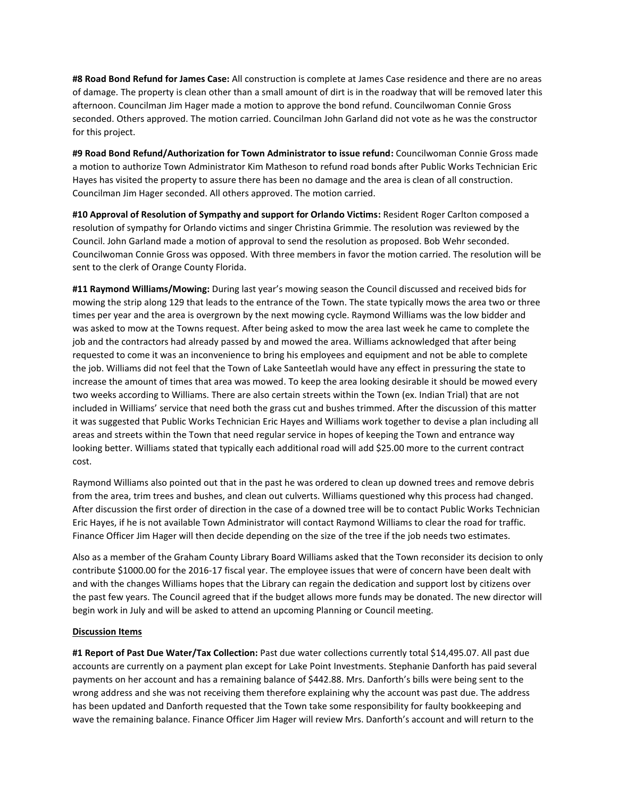**#8 Road Bond Refund for James Case:** All construction is complete at James Case residence and there are no areas of damage. The property is clean other than a small amount of dirt is in the roadway that will be removed later this afternoon. Councilman Jim Hager made a motion to approve the bond refund. Councilwoman Connie Gross seconded. Others approved. The motion carried. Councilman John Garland did not vote as he was the constructor for this project.

**#9 Road Bond Refund/Authorization for Town Administrator to issue refund:** Councilwoman Connie Gross made a motion to authorize Town Administrator Kim Matheson to refund road bonds after Public Works Technician Eric Hayes has visited the property to assure there has been no damage and the area is clean of all construction. Councilman Jim Hager seconded. All others approved. The motion carried.

**#10 Approval of Resolution of Sympathy and support for Orlando Victims:** Resident Roger Carlton composed a resolution of sympathy for Orlando victims and singer Christina Grimmie. The resolution was reviewed by the Council. John Garland made a motion of approval to send the resolution as proposed. Bob Wehr seconded. Councilwoman Connie Gross was opposed. With three members in favor the motion carried. The resolution will be sent to the clerk of Orange County Florida.

**#11 Raymond Williams/Mowing:** During last year's mowing season the Council discussed and received bids for mowing the strip along 129 that leads to the entrance of the Town. The state typically mows the area two or three times per year and the area is overgrown by the next mowing cycle. Raymond Williams was the low bidder and was asked to mow at the Towns request. After being asked to mow the area last week he came to complete the job and the contractors had already passed by and mowed the area. Williams acknowledged that after being requested to come it was an inconvenience to bring his employees and equipment and not be able to complete the job. Williams did not feel that the Town of Lake Santeetlah would have any effect in pressuring the state to increase the amount of times that area was mowed. To keep the area looking desirable it should be mowed every two weeks according to Williams. There are also certain streets within the Town (ex. Indian Trial) that are not included in Williams' service that need both the grass cut and bushes trimmed. After the discussion of this matter it was suggested that Public Works Technician Eric Hayes and Williams work together to devise a plan including all areas and streets within the Town that need regular service in hopes of keeping the Town and entrance way looking better. Williams stated that typically each additional road will add \$25.00 more to the current contract cost.

Raymond Williams also pointed out that in the past he was ordered to clean up downed trees and remove debris from the area, trim trees and bushes, and clean out culverts. Williams questioned why this process had changed. After discussion the first order of direction in the case of a downed tree will be to contact Public Works Technician Eric Hayes, if he is not available Town Administrator will contact Raymond Williams to clear the road for traffic. Finance Officer Jim Hager will then decide depending on the size of the tree if the job needs two estimates.

Also as a member of the Graham County Library Board Williams asked that the Town reconsider its decision to only contribute \$1000.00 for the 2016-17 fiscal year. The employee issues that were of concern have been dealt with and with the changes Williams hopes that the Library can regain the dedication and support lost by citizens over the past few years. The Council agreed that if the budget allows more funds may be donated. The new director will begin work in July and will be asked to attend an upcoming Planning or Council meeting.

### **Discussion Items**

**#1 Report of Past Due Water/Tax Collection:** Past due water collections currently total \$14,495.07. All past due accounts are currently on a payment plan except for Lake Point Investments. Stephanie Danforth has paid several payments on her account and has a remaining balance of \$442.88. Mrs. Danforth's bills were being sent to the wrong address and she was not receiving them therefore explaining why the account was past due. The address has been updated and Danforth requested that the Town take some responsibility for faulty bookkeeping and wave the remaining balance. Finance Officer Jim Hager will review Mrs. Danforth's account and will return to the